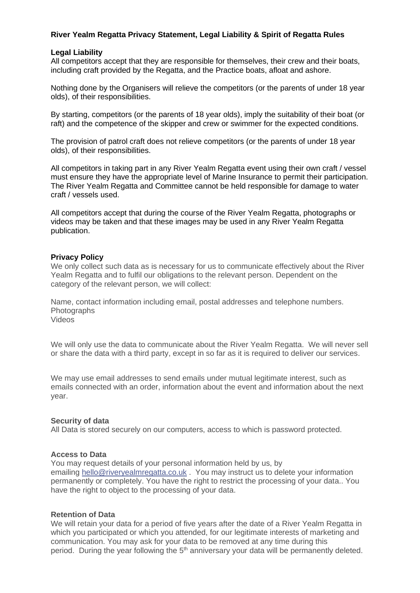## **River Yealm Regatta Privacy Statement, Legal Liability & Spirit of Regatta Rules**

### **Legal Liability**

All competitors accept that they are responsible for themselves, their crew and their boats, including craft provided by the Regatta, and the Practice boats, afloat and ashore.

Nothing done by the Organisers will relieve the competitors (or the parents of under 18 year olds), of their responsibilities.

By starting, competitors (or the parents of 18 year olds), imply the suitability of their boat (or raft) and the competence of the skipper and crew or swimmer for the expected conditions.

The provision of patrol craft does not relieve competitors (or the parents of under 18 year olds), of their responsibilities.

All competitors in taking part in any River Yealm Regatta event using their own craft / vessel must ensure they have the appropriate level of Marine Insurance to permit their participation. The River Yealm Regatta and Committee cannot be held responsible for damage to water craft / vessels used.

All competitors accept that during the course of the River Yealm Regatta, photographs or videos may be taken and that these images may be used in any River Yealm Regatta publication.

#### **Privacy Policy**

We only collect such data as is necessary for us to communicate effectively about the River Yealm Regatta and to fulfil our obligations to the relevant person. Dependent on the category of the relevant person, we will collect:

Name, contact information including email, postal addresses and telephone numbers. Photographs Videos

We will only use the data to communicate about the River Yealm Regatta. We will never sell or share the data with a third party, except in so far as it is required to deliver our services.

We may use email addresses to send emails under mutual legitimate interest, such as emails connected with an order, information about the event and information about the next year.

#### **Security of data**

All Data is stored securely on our computers, access to which is password protected.

#### **Access to Data**

You may request details of your personal information held by us, by emailing hello@riveryealmregatta.co.uk . You may instruct us to delete your information permanently or completely. You have the right to restrict the processing of your data.. You have the right to object to the processing of your data.

#### **Retention of Data**

We will retain your data for a period of five years after the date of a River Yealm Regatta in which you participated or which you attended, for our legitimate interests of marketing and communication. You may ask for your data to be removed at any time during this period. During the year following the  $5<sup>th</sup>$  anniversary your data will be permanently deleted.